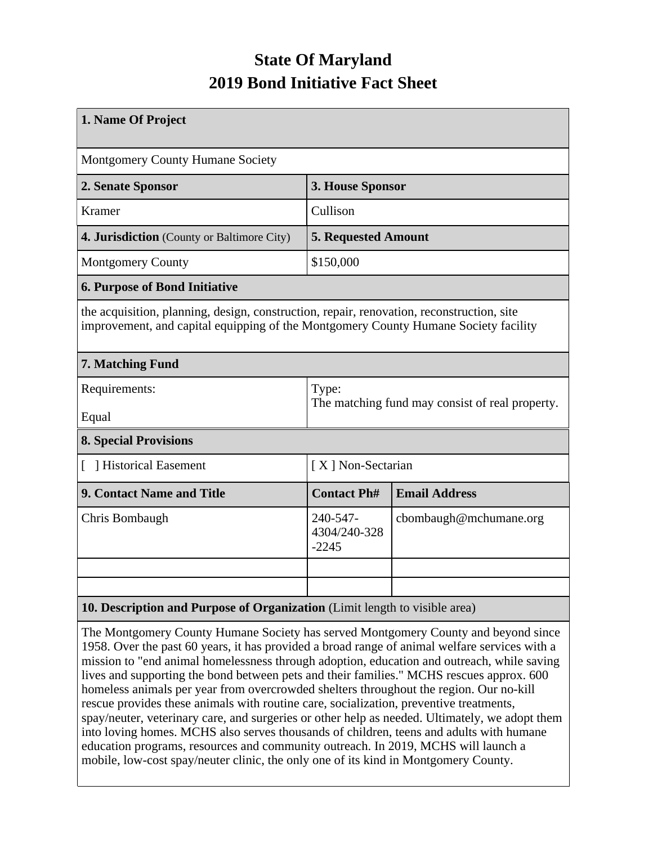## **State Of Maryland 2019 Bond Initiative Fact Sheet**

| 1. Name Of Project                                                                                                                                                               |                                                          |                        |  |  |  |
|----------------------------------------------------------------------------------------------------------------------------------------------------------------------------------|----------------------------------------------------------|------------------------|--|--|--|
| Montgomery County Humane Society                                                                                                                                                 |                                                          |                        |  |  |  |
| 2. Senate Sponsor                                                                                                                                                                | 3. House Sponsor                                         |                        |  |  |  |
| <b>Kramer</b>                                                                                                                                                                    | Cullison                                                 |                        |  |  |  |
| 4. Jurisdiction (County or Baltimore City)                                                                                                                                       | <b>5. Requested Amount</b>                               |                        |  |  |  |
| <b>Montgomery County</b>                                                                                                                                                         | \$150,000                                                |                        |  |  |  |
| <b>6. Purpose of Bond Initiative</b>                                                                                                                                             |                                                          |                        |  |  |  |
| the acquisition, planning, design, construction, repair, renovation, reconstruction, site<br>improvement, and capital equipping of the Montgomery County Humane Society facility |                                                          |                        |  |  |  |
| 7. Matching Fund                                                                                                                                                                 |                                                          |                        |  |  |  |
| Requirements:<br>Equal                                                                                                                                                           | Type:<br>The matching fund may consist of real property. |                        |  |  |  |
| <b>8. Special Provisions</b>                                                                                                                                                     |                                                          |                        |  |  |  |
| [ ] Historical Easement                                                                                                                                                          | [X] Non-Sectarian                                        |                        |  |  |  |
| 9. Contact Name and Title                                                                                                                                                        | <b>Contact Ph#</b>                                       | <b>Email Address</b>   |  |  |  |
| Chris Bombaugh                                                                                                                                                                   | 240-547-<br>4304/240-328<br>$-2245$                      | cbombaugh@mchumane.org |  |  |  |
|                                                                                                                                                                                  |                                                          |                        |  |  |  |
|                                                                                                                                                                                  |                                                          |                        |  |  |  |
| 10. Description and Purpose of Organization (Limit length to visible area)                                                                                                       |                                                          |                        |  |  |  |

The Montgomery County Humane Society has served Montgomery County and beyond since 1958. Over the past 60 years, it has provided a broad range of animal welfare services with a mission to "end animal homelessness through adoption, education and outreach, while saving lives and supporting the bond between pets and their families." MCHS rescues approx. 600 homeless animals per year from overcrowded shelters throughout the region. Our no-kill rescue provides these animals with routine care, socialization, preventive treatments, spay/neuter, veterinary care, and surgeries or other help as needed. Ultimately, we adopt them into loving homes. MCHS also serves thousands of children, teens and adults with humane education programs, resources and community outreach. In 2019, MCHS will launch a mobile, low-cost spay/neuter clinic, the only one of its kind in Montgomery County.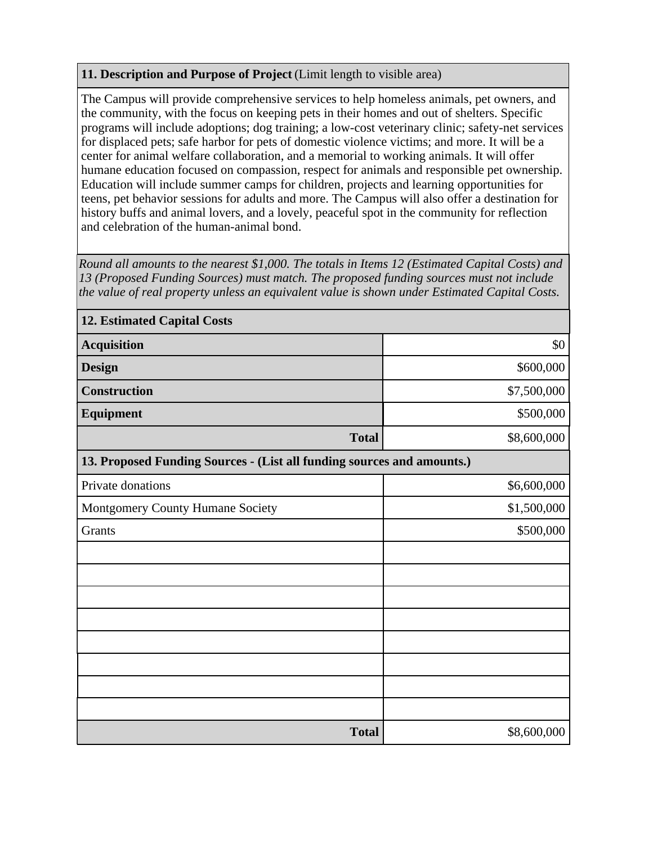## **11. Description and Purpose of Project** (Limit length to visible area)

The Campus will provide comprehensive services to help homeless animals, pet owners, and the community, with the focus on keeping pets in their homes and out of shelters. Specific programs will include adoptions; dog training; a low-cost veterinary clinic; safety-net services for displaced pets; safe harbor for pets of domestic violence victims; and more. It will be a center for animal welfare collaboration, and a memorial to working animals. It will offer humane education focused on compassion, respect for animals and responsible pet ownership. Education will include summer camps for children, projects and learning opportunities for teens, pet behavior sessions for adults and more. The Campus will also offer a destination for history buffs and animal lovers, and a lovely, peaceful spot in the community for reflection and celebration of the human-animal bond.

*Round all amounts to the nearest \$1,000. The totals in Items 12 (Estimated Capital Costs) and 13 (Proposed Funding Sources) must match. The proposed funding sources must not include the value of real property unless an equivalent value is shown under Estimated Capital Costs.*

| <b>12. Estimated Capital Costs</b>                                     |             |  |  |  |
|------------------------------------------------------------------------|-------------|--|--|--|
| <b>Acquisition</b>                                                     | \$0         |  |  |  |
| <b>Design</b>                                                          | \$600,000   |  |  |  |
| <b>Construction</b>                                                    | \$7,500,000 |  |  |  |
| <b>Equipment</b>                                                       | \$500,000   |  |  |  |
| <b>Total</b>                                                           | \$8,600,000 |  |  |  |
| 13. Proposed Funding Sources - (List all funding sources and amounts.) |             |  |  |  |
| Private donations                                                      | \$6,600,000 |  |  |  |
| Montgomery County Humane Society                                       | \$1,500,000 |  |  |  |
| Grants                                                                 | \$500,000   |  |  |  |
|                                                                        |             |  |  |  |
|                                                                        |             |  |  |  |
|                                                                        |             |  |  |  |
|                                                                        |             |  |  |  |
|                                                                        |             |  |  |  |
|                                                                        |             |  |  |  |
|                                                                        |             |  |  |  |
|                                                                        |             |  |  |  |
| <b>Total</b>                                                           | \$8,600,000 |  |  |  |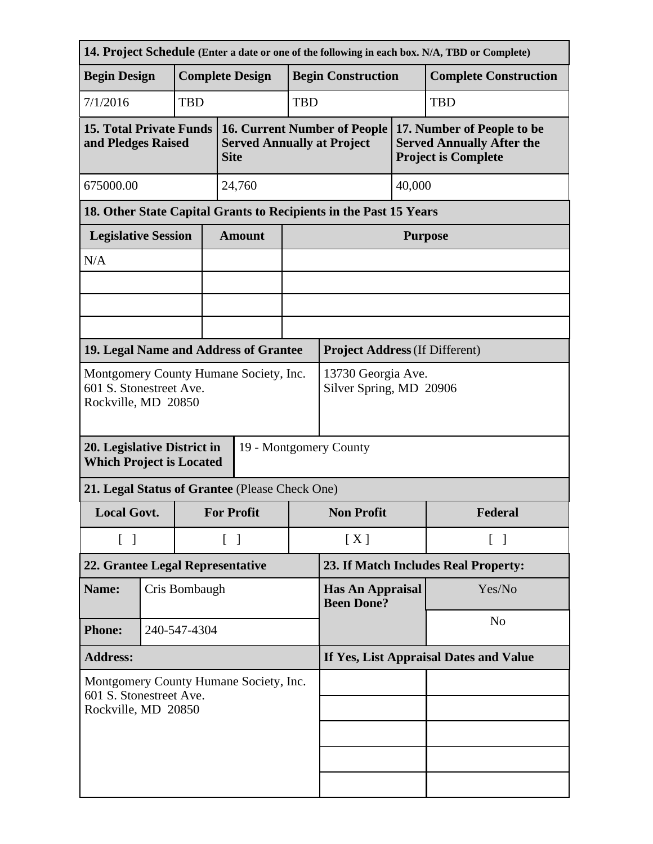| 14. Project Schedule (Enter a date or one of the following in each box. N/A, TBD or Complete) |              |                        |                                               |                                                                                         |                           |                                              |                    |                                                                                              |  |
|-----------------------------------------------------------------------------------------------|--------------|------------------------|-----------------------------------------------|-----------------------------------------------------------------------------------------|---------------------------|----------------------------------------------|--------------------|----------------------------------------------------------------------------------------------|--|
| <b>Begin Design</b>                                                                           |              | <b>Complete Design</b> |                                               |                                                                                         | <b>Begin Construction</b> |                                              |                    | <b>Complete Construction</b>                                                                 |  |
| 7/1/2016                                                                                      |              | <b>TBD</b>             |                                               |                                                                                         | <b>TBD</b>                |                                              | <b>TBD</b>         |                                                                                              |  |
| <b>15. Total Private Funds</b><br>and Pledges Raised                                          |              |                        |                                               | <b>16. Current Number of People</b><br><b>Served Annually at Project</b><br><b>Site</b> |                           |                                              |                    | 17. Number of People to be<br><b>Served Annually After the</b><br><b>Project is Complete</b> |  |
| 675000.00<br>24,760                                                                           |              |                        |                                               | 40,000                                                                                  |                           |                                              |                    |                                                                                              |  |
| 18. Other State Capital Grants to Recipients in the Past 15 Years                             |              |                        |                                               |                                                                                         |                           |                                              |                    |                                                                                              |  |
| <b>Legislative Session</b>                                                                    |              |                        |                                               | <b>Amount</b>                                                                           |                           | <b>Purpose</b>                               |                    |                                                                                              |  |
| N/A                                                                                           |              |                        |                                               |                                                                                         |                           |                                              |                    |                                                                                              |  |
|                                                                                               |              |                        |                                               |                                                                                         |                           |                                              |                    |                                                                                              |  |
|                                                                                               |              |                        |                                               |                                                                                         |                           |                                              |                    |                                                                                              |  |
|                                                                                               |              |                        |                                               | 19. Legal Name and Address of Grantee                                                   |                           | <b>Project Address (If Different)</b>        |                    |                                                                                              |  |
| Montgomery County Humane Society, Inc.<br>601 S. Stonestreet Ave.<br>Rockville, MD 20850      |              |                        | 13730 Georgia Ave.<br>Silver Spring, MD 20906 |                                                                                         |                           |                                              |                    |                                                                                              |  |
| 20. Legislative District in<br>19 - Montgomery County<br><b>Which Project is Located</b>      |              |                        |                                               |                                                                                         |                           |                                              |                    |                                                                                              |  |
|                                                                                               |              |                        |                                               | 21. Legal Status of Grantee (Please Check One)                                          |                           |                                              |                    |                                                                                              |  |
| <b>Local Govt.</b>                                                                            |              |                        | <b>For Profit</b>                             |                                                                                         | <b>Non Profit</b>         |                                              | Federal            |                                                                                              |  |
| $\begin{bmatrix} 1 \end{bmatrix}$                                                             |              |                        |                                               | $\lceil \; \rceil$                                                                      |                           | [X]                                          | $\lceil \; \rceil$ |                                                                                              |  |
| 22. Grantee Legal Representative                                                              |              |                        | 23. If Match Includes Real Property:          |                                                                                         |                           |                                              |                    |                                                                                              |  |
| Name:                                                                                         |              | Cris Bombaugh          |                                               |                                                                                         |                           | <b>Has An Appraisal</b><br><b>Been Done?</b> |                    | Yes/No                                                                                       |  |
| <b>Phone:</b>                                                                                 | 240-547-4304 |                        |                                               |                                                                                         |                           |                                              |                    | N <sub>o</sub>                                                                               |  |
| <b>Address:</b>                                                                               |              |                        | If Yes, List Appraisal Dates and Value        |                                                                                         |                           |                                              |                    |                                                                                              |  |
| Montgomery County Humane Society, Inc.<br>601 S. Stonestreet Ave.<br>Rockville, MD 20850      |              |                        |                                               |                                                                                         |                           |                                              |                    |                                                                                              |  |
|                                                                                               |              |                        |                                               |                                                                                         |                           |                                              |                    |                                                                                              |  |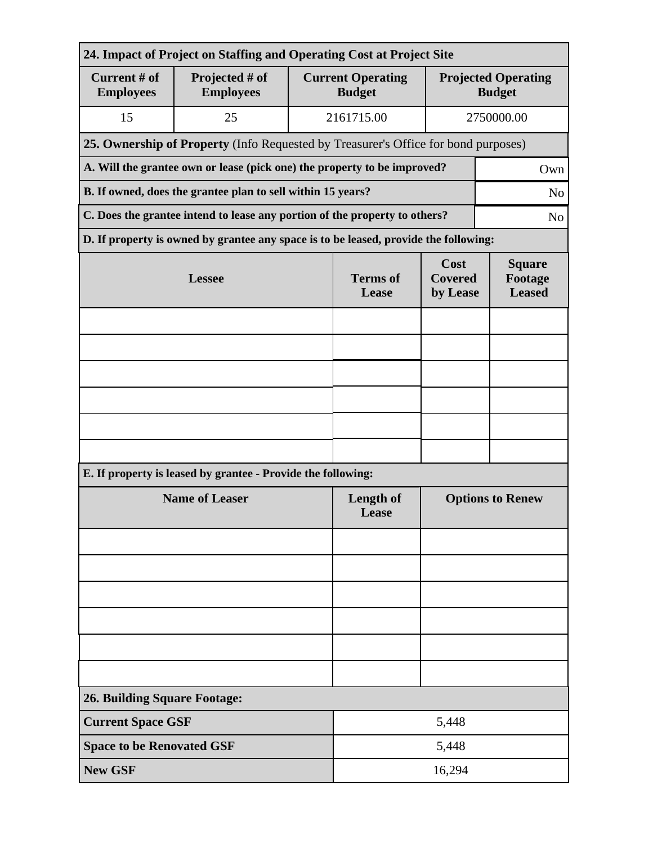| 24. Impact of Project on Staffing and Operating Cost at Project Site                         |                                                                                      |                          |                                           |                                           |                                             |  |  |
|----------------------------------------------------------------------------------------------|--------------------------------------------------------------------------------------|--------------------------|-------------------------------------------|-------------------------------------------|---------------------------------------------|--|--|
| Current # of<br><b>Employees</b>                                                             | Projected # of<br><b>Employees</b>                                                   |                          | <b>Current Operating</b><br><b>Budget</b> |                                           | <b>Projected Operating</b><br><b>Budget</b> |  |  |
| 15                                                                                           | 25                                                                                   |                          | 2161715.00                                | 2750000.00                                |                                             |  |  |
| 25. Ownership of Property (Info Requested by Treasurer's Office for bond purposes)           |                                                                                      |                          |                                           |                                           |                                             |  |  |
| A. Will the grantee own or lease (pick one) the property to be improved?<br>Own              |                                                                                      |                          |                                           |                                           |                                             |  |  |
| B. If owned, does the grantee plan to sell within 15 years?<br>N <sub>o</sub>                |                                                                                      |                          |                                           |                                           |                                             |  |  |
| C. Does the grantee intend to lease any portion of the property to others?<br>N <sub>o</sub> |                                                                                      |                          |                                           |                                           |                                             |  |  |
|                                                                                              | D. If property is owned by grantee any space is to be leased, provide the following: |                          |                                           |                                           |                                             |  |  |
|                                                                                              | <b>Lessee</b>                                                                        | <b>Terms</b> of<br>Lease | Cost<br><b>Covered</b><br>by Lease        | <b>Square</b><br>Footage<br><b>Leased</b> |                                             |  |  |
|                                                                                              |                                                                                      |                          |                                           |                                           |                                             |  |  |
|                                                                                              |                                                                                      |                          |                                           |                                           |                                             |  |  |
|                                                                                              |                                                                                      |                          |                                           |                                           |                                             |  |  |
|                                                                                              |                                                                                      |                          |                                           |                                           |                                             |  |  |
|                                                                                              |                                                                                      |                          |                                           |                                           |                                             |  |  |
|                                                                                              |                                                                                      |                          |                                           |                                           |                                             |  |  |
| E. If property is leased by grantee - Provide the following:                                 |                                                                                      |                          |                                           |                                           |                                             |  |  |
| <b>Name of Leaser</b>                                                                        |                                                                                      |                          | <b>Length of</b><br>Lease                 | <b>Options to Renew</b>                   |                                             |  |  |
|                                                                                              |                                                                                      |                          |                                           |                                           |                                             |  |  |
|                                                                                              |                                                                                      |                          |                                           |                                           |                                             |  |  |
|                                                                                              |                                                                                      |                          |                                           |                                           |                                             |  |  |
|                                                                                              |                                                                                      |                          |                                           |                                           |                                             |  |  |
|                                                                                              |                                                                                      |                          |                                           |                                           |                                             |  |  |
|                                                                                              |                                                                                      |                          |                                           |                                           |                                             |  |  |
| <b>26. Building Square Footage:</b>                                                          |                                                                                      |                          |                                           |                                           |                                             |  |  |
| <b>Current Space GSF</b>                                                                     |                                                                                      | 5,448                    |                                           |                                           |                                             |  |  |
| <b>Space to be Renovated GSF</b>                                                             |                                                                                      | 5,448                    |                                           |                                           |                                             |  |  |
| <b>New GSF</b>                                                                               |                                                                                      |                          | 16,294                                    |                                           |                                             |  |  |